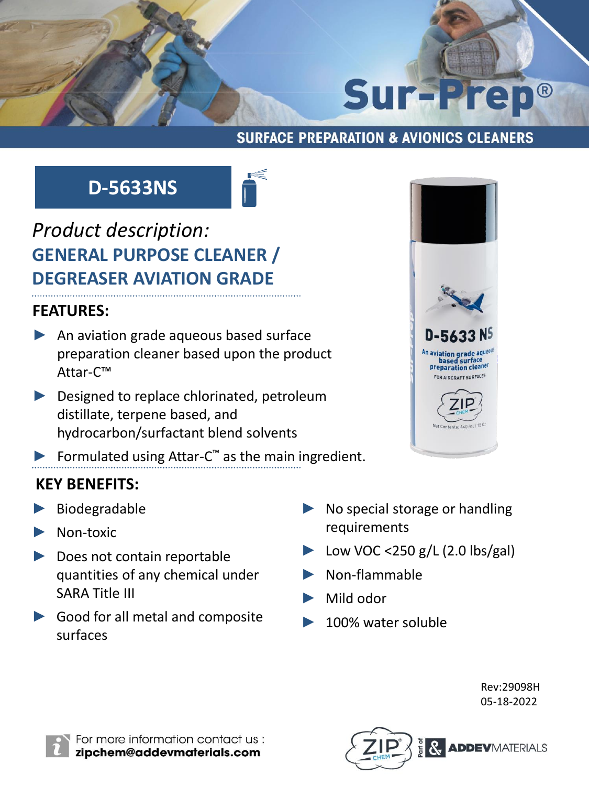# **Sur-Prep®**

## **SURFACE PREPARATION & AVIONICS CLEANERS**

# **D-5633NS**



# *Product description:* **GENERAL PURPOSE CLEANER / DEGREASER AVIATION GRADE**

# **FEATURES:**

- ▶ An aviation grade aqueous based surface preparation cleaner based upon the product Attar-C™
- ► Designed to replace chlorinated, petroleum distillate, terpene based, and hydrocarbon/surfactant blend solvents
- ▶ Formulated using Attar-C<sup>™</sup> as the main ingredient.

# **KEY BENEFITS:**

- ► Biodegradable
- Non-toxic
- Does not contain reportable quantities of any chemical under SARA Title III
- ► Good for all metal and composite surfaces



- No special storage or handling requirements
- ► Low VOC <250 g/L (2.0 lbs/gal)
- ► Non-flammable
- Mild odor
- ► 100% water soluble

Rev:29098H 05-18-2022



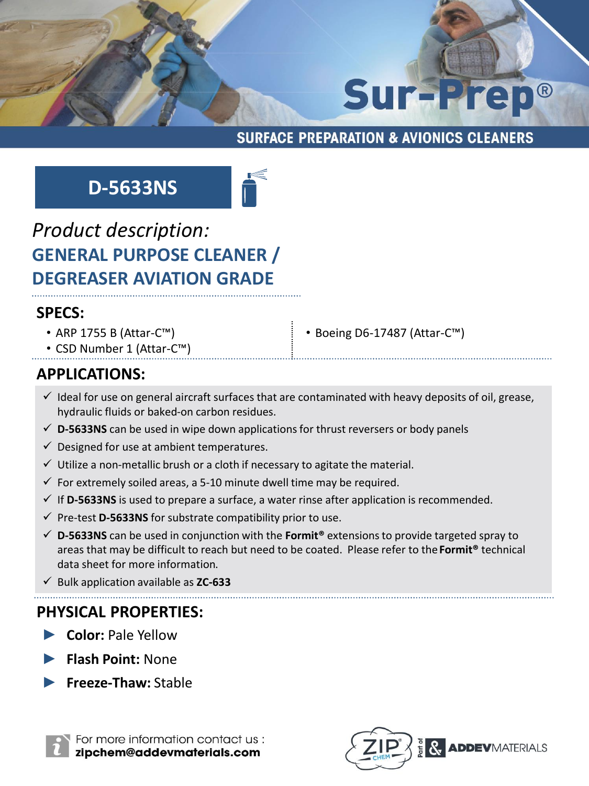# Sur-Prep®

#### **SURFACE PREPARATION & AVIONICS CLEANERS**

# **D-5633NS**



# *Product description:* **GENERAL PURPOSE CLEANER / DEGREASER AVIATION GRADE**

#### **SPECS:**

• ARP 1755 B (Attar-C™)

• CSD Number 1 (Attar-C™)

• Boeing D6-17487 (Attar-C™)

#### **APPLICATIONS:**

- $\checkmark$  Ideal for use on general aircraft surfaces that are contaminated with heavy deposits of oil, grease, hydraulic fluids or baked-on carbon residues.
- ✓ **D-5633NS** can be used in wipe down applications for thrust reversers or body panels
- $\checkmark$  Designed for use at ambient temperatures.
- $\checkmark$  Utilize a non-metallic brush or a cloth if necessary to agitate the material.
- $\checkmark$  For extremely soiled areas, a 5-10 minute dwell time may be required.
- ✓ If **D-5633NS** is used to prepare a surface, a water rinse after application is recommended.
- ✓ Pre-test **D-5633NS** for substrate compatibility prior to use.
- ✓ **D-5633NS** can be used in conjunction with the **Formit®** extensions to provide targeted spray to areas that may be difficult to reach but need to be coated. Please refer to the **Formit®** technical data sheet for more information.
- ✓ Bulk application available as **ZC-633**

#### **PHYSICAL PROPERTIES:**

- ► **Color:** Pale Yellow
- ► **Flash Point:** None
- ► **Freeze-Thaw:** Stable